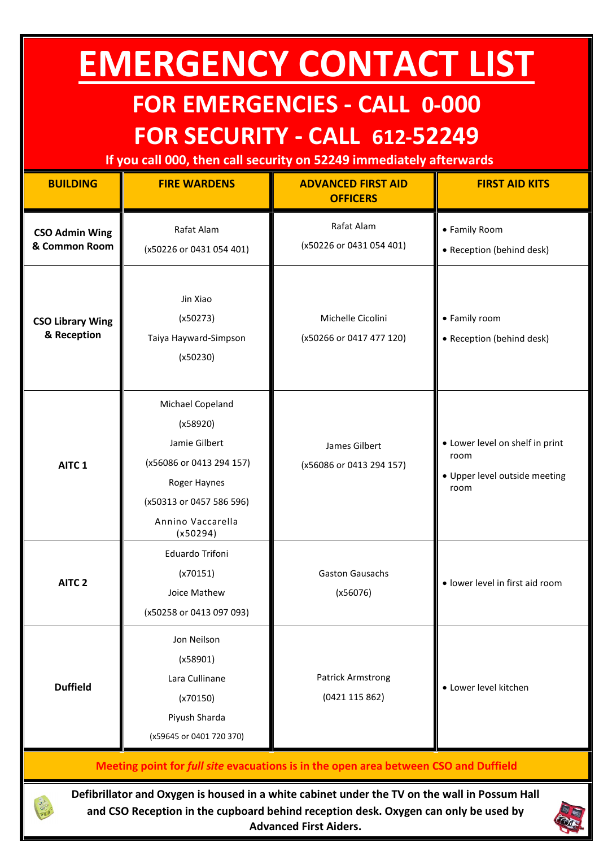## **EMERGENCY CONTACT LIST**

## **FOR EMERGENCIES - CALL 0-000 FOR SECURITY - CALL 612-52249**

**If you call 000, then call security on 52249 immediately afterwards**

| <b>BUILDING</b>                                                                      | <b>FIRE WARDENS</b>                                                                                                                                    | <b>ADVANCED FIRST AID</b><br><b>OFFICERS</b>  | <b>FIRST AID KITS</b>                                                            |  |
|--------------------------------------------------------------------------------------|--------------------------------------------------------------------------------------------------------------------------------------------------------|-----------------------------------------------|----------------------------------------------------------------------------------|--|
| <b>CSO Admin Wing</b><br>& Common Room                                               | Rafat Alam<br>(x50226 or 0431 054 401)                                                                                                                 | Rafat Alam<br>(x50226 or 0431 054 401)        | • Family Room<br>• Reception (behind desk)                                       |  |
| <b>CSO Library Wing</b><br>& Reception                                               | Jin Xiao<br>(x50273)<br>Taiya Hayward-Simpson<br>(x50230)                                                                                              | Michelle Cicolini<br>(x50266 or 0417 477 120) | • Family room<br>• Reception (behind desk)                                       |  |
| AITC <sub>1</sub>                                                                    | Michael Copeland<br>(x58920)<br>Jamie Gilbert<br>(x56086 or 0413 294 157)<br>Roger Haynes<br>(x50313 or 0457 586 596)<br>Annino Vaccarella<br>(x50294) | James Gilbert<br>(x56086 or 0413 294 157)     | • Lower level on shelf in print<br>room<br>· Upper level outside meeting<br>room |  |
| AITC <sub>2</sub>                                                                    | Eduardo Trifoni<br>(x70151)<br>Joice Mathew<br>(x50258 or 0413 097 093)                                                                                | <b>Gaston Gausachs</b><br>(x56076)            | · lower level in first aid room                                                  |  |
| <b>Duffield</b>                                                                      | Jon Neilson<br>(x58901)<br>Lara Cullinane<br>(x70150)<br>Piyush Sharda<br>(x59645 or 0401 720 370)                                                     | <b>Patrick Armstrong</b><br>(0421 115 862)    | · Lower level kitchen                                                            |  |
| Meeting point for full site evacuations is in the open area between CSO and Duffield |                                                                                                                                                        |                                               |                                                                                  |  |